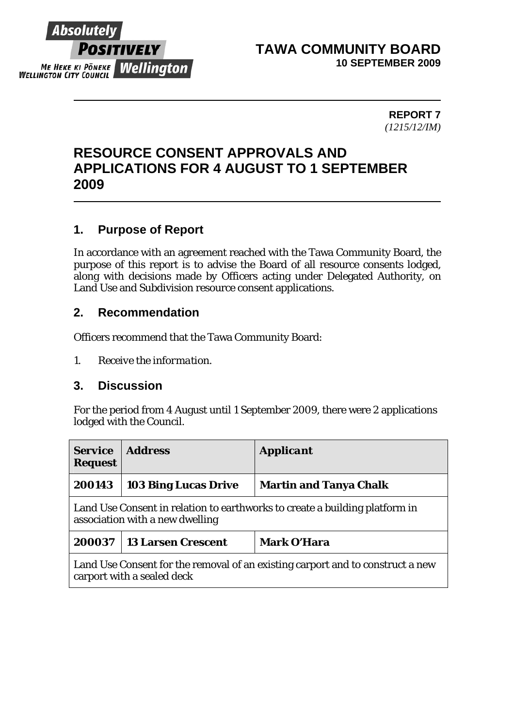

## **TAWA COMMUNITY BOARD 10 SEPTEMBER 2009**

**REPORT 7**  *(1215/12/IM)* 

# **RESOURCE CONSENT APPROVALS AND APPLICATIONS FOR 4 AUGUST TO 1 SEPTEMBER 2009**

# **1. Purpose of Report**

In accordance with an agreement reached with the Tawa Community Board, the purpose of this report is to advise the Board of all resource consents lodged, along with decisions made by Officers acting under Delegated Authority, on Land Use and Subdivision resource consent applications.

#### **2. Recommendation**

Officers recommend that the Tawa Community Board:

*1. Receive the information.* 

#### **3. Discussion**

For the period from 4 August until 1 September 2009, there were 2 applications lodged with the Council.

| <b>Service</b><br><b>Request</b>                                                                               | <b>Address</b>              | <b>Applicant</b>              |  |
|----------------------------------------------------------------------------------------------------------------|-----------------------------|-------------------------------|--|
| 200143                                                                                                         | <b>103 Bing Lucas Drive</b> | <b>Martin and Tanya Chalk</b> |  |
| Land Use Consent in relation to earthworks to create a building platform in<br>association with a new dwelling |                             |                               |  |
| 200037                                                                                                         | <b>13 Larsen Crescent</b>   | <b>Mark O'Hara</b>            |  |
| Land Use Consent for the removal of an existing carport and to construct a new<br>carport with a sealed deck   |                             |                               |  |